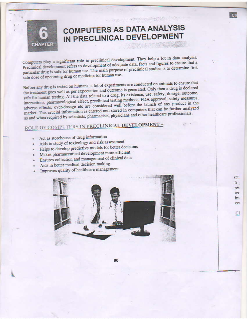

# **COMPUTERS AS DATA ANALYSIS** IN PRECLINICAL DEVELOPMENT

a en solo receptante a dialectic

Co

**CL** It : res wc ins ce:

Cl

Computers play a significant role in preclinical development. They help a lot in data analysis. Preclinical development refers to development of adequate data, facts and figures to ensure that a particular drug is safe for human use. The main purpose of preclinical studies is to determine first safe dose of upcoming drug or medicine for human use.

Before any drug is tested on humans, a lot of experiments are conducted on animals to ensure that the treatment goes well as per expectation and outcome is generated. Only then a drug is declared safe for human testing. All the data related to a drug, its existence, use, safety, dosage, outcome, interactions, pharmacological effect, preclinical testing methods, FDA approval, safety measures, adverse effects, over-dosage etc are considered well before the launch of any product in the market. This crucial information is entered and stored in computers that can be further analyzed as and when required by scientists, pharmacists, physicians and other healthcare professionals.

## ROLE OF COMPUTERS IN PRECLINICAL DEVELOPMENT -

- Act as storehouse of drug information
- Aids in study of toxicology and risk assessment
- Helps to develop predictive models for better decisions
- Makes pharmaceutical development more efficient
- Ensures collection and management of clinical data
- Aids in better medical decision making
- Improves quality of healthcare management

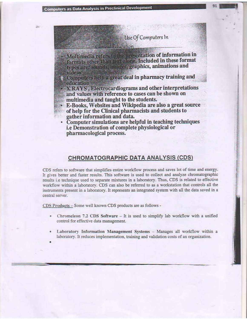## Use Of Computers In

**Classical American** 

presentation of information in Multimedia reference formats other than test slone. Included in these format types are; sounds, images, graphics, animations and videos

Computers help a great deal in pharmacy training and education

X, RAYS, Electrocardiograms and other interpretations and values with reference to cases can be shown on multimedia and taught to the students.

• E-Books, Websites and Wikipedia are also a great source of help for the Clinical pharmacists and students to gather information and data.

• Computer simulations are helpful in teaching techniques i.e Demonstration of complete physiological or pharmacological process.

#### **CHROMATOGRAPHIC DATA ANALYSIS (CDS)**

CDS refers to software that simplifies entire workflow process and saves lot of time and energy. It gives better and faster results. This software is used to collect and analyze chromatographic results i.e technique used to separate mixtures in a laboratory. Thus, CDS is related to effective workflow within a laboratory. CDS can also be referred to as a workstation that controls all the instruments present in a laboratory. It represents an integrated system with all the data saved in a central server.

CDS Products - Some well known CDS products are as follows -

- Chromeleon 7.2 CDS Software  $-$  It is used to simplify lab workflow with a unified control for effective data management.
- Laboratory Information Management Systems Manages all workflow within a laboratory. It reduces implementation, training and validation costs of an organization.
-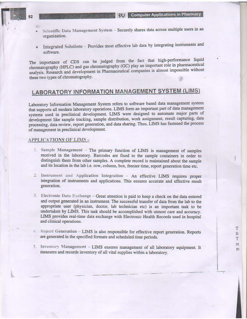**BV** Computer Applications in Pharmacy

T

fr

T re

m

- Scientific Data Management System Securely shares data across multiple users in an organization.
- Integrated Solutions Provides most effective lab data by integrating instruments and software.

The importance of CDS can be judged from the fact that high-performance liquid chromatography (HPLC) and gas chromatography (GC) play an important role in pharmaceutical analysis. Research and development in Pharmaceutical companies is almost impossible without these two types of chromatography.

## **LABORATORY INFORMATION MANAGEMENT SYSTEM (LIMS)**

Laboratory Information Management System refers to software based data management system that supports all modern laboratory operations. LIMS form an important part of data management systems used in preclinical development. LIMS were designed to automate major parts of development like sample tracking, sample distribution, work assignment, result capturing, data processing, data review, report generation, and data sharing. Thus, LIMS has fastened the process of management in preclinical development.

#### **APPLICATIONS OF LIMS-**

- 1. Sample Management The primary function of LIMS is management of samples received in the laboratory. Barcodes are fixed to the sample containers in order to distinguish them from other samples. A complete record is maintained about the sample and its location in the lab i.e. row, column, box, freezer time, report generation time etc.
- 2. Instrument and Application Integration An effective LIMS requires proper integration of instruments and applications. This ensures accurate and effective result generation.
- 3. Electronic Data Exchange Great attention is paid to keep a check on the data entered and output generated in an instrument. The successful transfer of data from the lab to the appropriate user (physician, doctor, lab technician etc) is an important task to be undertaken by LIMS. This task should be accomplished with utmost care and accuracy. LIMS provides real-time data exchange with Electronic Health Records used in hospital and clinical operations.
- 4. Report Generation LIMS is also responsible for effective report generation. Reports are generated in the specified formats and scheduled time periods.
- 5. Inventory Management LIMS ensures management of all laboratory equipment. It measures and records inventory of all vital supplies within a laboratory.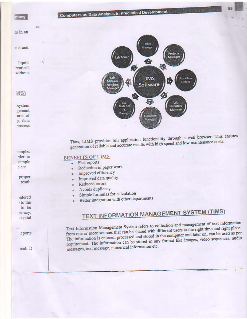macy

Computers as Data Analysis in Preclinical Development

rs in an

Zü.

nts and

liquid **reutical** without

MS)

system gement arts of g, data process



Thus, LIMS provides full application functionality through a web browser. This ensures generation of reliable and accurate results with high speed and low maintenance costs.

### **BENEFITS OF LIMS**

- Fast reports ø.
	- Reduction in paper work
	- Improved efficiency
	- Improved data quality
	- Reduced errors
	- Avoids duplicacy
	- Simple formulas for calculation
	- Better integration with other departments

# **TEXT INFORMATION MANAGEMENT SYSTEM (TIMS)**

Text Information Management System refers to collection and management of text information from one or more sources that can be shared with different users at the right time and right place. The information is entered, processed and stored in the computer and later on, can be used as per requirement. The information can be stored in any format like images, video sequences, audio messages, text message, numerical information etc.

amples rder to sample etc.

> proper result

> :ntered to the to be turacy. ospital

teports

ient. It